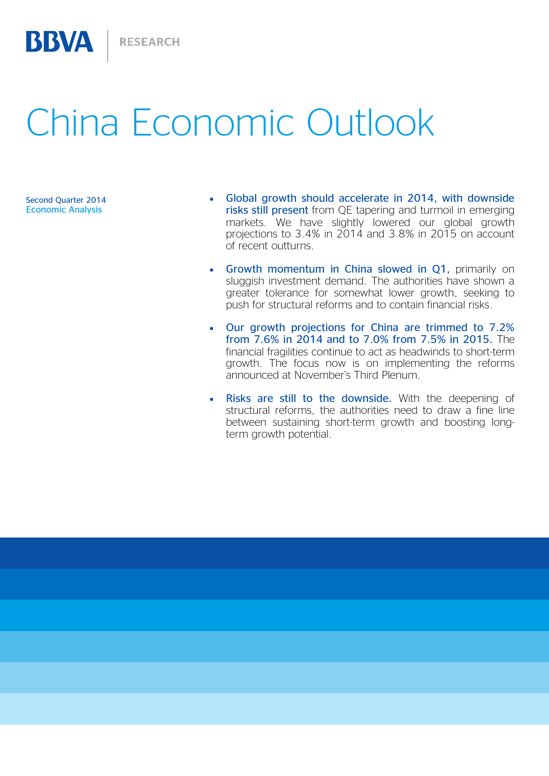# China Economic Outlook

Economic Analysis

BBVA

- Second Quarter 2014 **Clobal growth should accelerate in 2014, with downside** risks still present from QE tapering and turmoil in emerging markets. We have slightly lowered our global growth projections to 3.4% in 2014 and 3.8% in 2015 on account of recent outturns.
	- Growth momentum in China slowed in Q1, primarily on sluggish investment demand. The authorities have shown a greater tolerance for somewhat lower growth, seeking to push for structural reforms and to contain financial risks.
	- Our growth projections for China are trimmed to 7.2% from 7.6% in 2014 and to 7.0% from 7.5% in 2015. The financial fragilities continue to act as headwinds to short-term growth. The focus now is on implementing the reforms announced at November's Third Plenum.
	- Risks are still to the downside. With the deepening of structural reforms, the authorities need to draw a fine line between sustaining short-term growth and boosting longterm growth potential.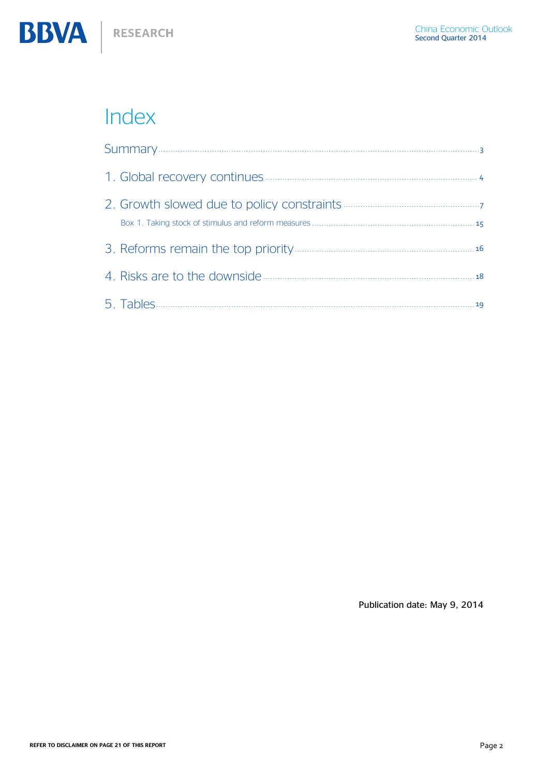

# Index

Publication date: May 9, 2014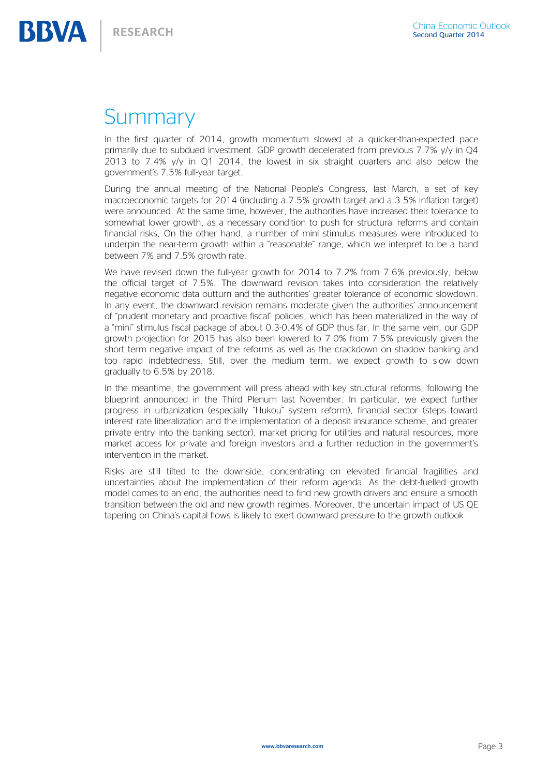# <span id="page-2-0"></span>**Summary**

In the first quarter of 2014, growth momentum slowed at a quicker-than-expected pace primarily due to subdued investment. GDP growth decelerated from previous 7.7% y/y in Q4 2013 to 7.4% y/y in Q1 2014, the lowest in six straight quarters and also below the government's 7.5% full-year target.

During the annual meeting of the National People's Congress, last March, a set of key macroeconomic targets for 2014 (including a 7.5% growth target and a 3.5% inflation target) were announced. At the same time, however, the authorities have increased their tolerance to somewhat lower growth, as a necessary condition to push for structural reforms and contain financial risks, On the other hand, a number of mini stimulus measures were introduced to underpin the near-term growth within a "reasonable" range, which we interpret to be a band between 7% and 7.5% growth rate.

We have revised down the full-year growth for 2014 to 7.2% from 7.6% previously, below the official target of 7.5%. The downward revision takes into consideration the relatively negative economic data outturn and the authorities' greater tolerance of economic slowdown. In any event, the downward revision remains moderate given the authorities' announcement of "prudent monetary and proactive fiscal" policies, which has been materialized in the way of a "mini" stimulus fiscal package of about 0.3-0.4% of GDP thus far. In the same vein, our GDP growth projection for 2015 has also been lowered to 7.0% from 7.5% previously given the short term negative impact of the reforms as well as the crackdown on shadow banking and too rapid indebtedness. Still, over the medium term, we expect growth to slow down gradually to 6.5% by 2018.

In the meantime, the government will press ahead with key structural reforms, following the blueprint announced in the Third Plenum last November. In particular, we expect further progress in urbanization (especially "Hukou" system reform), financial sector (steps toward interest rate liberalization and the implementation of a deposit insurance scheme, and greater private entry into the banking sector), market pricing for utilities and natural resources, more market access for private and foreign investors and a further reduction in the government's intervention in the market.

Risks are still tilted to the downside, concentrating on elevated financial fragilities and uncertainties about the implementation of their reform agenda. As the debt-fuelled growth model comes to an end, the authorities need to find new growth drivers and ensure a smooth transition between the old and new growth regimes. Moreover, the uncertain impact of US QE tapering on China's capital flows is likely to exert downward pressure to the growth outlook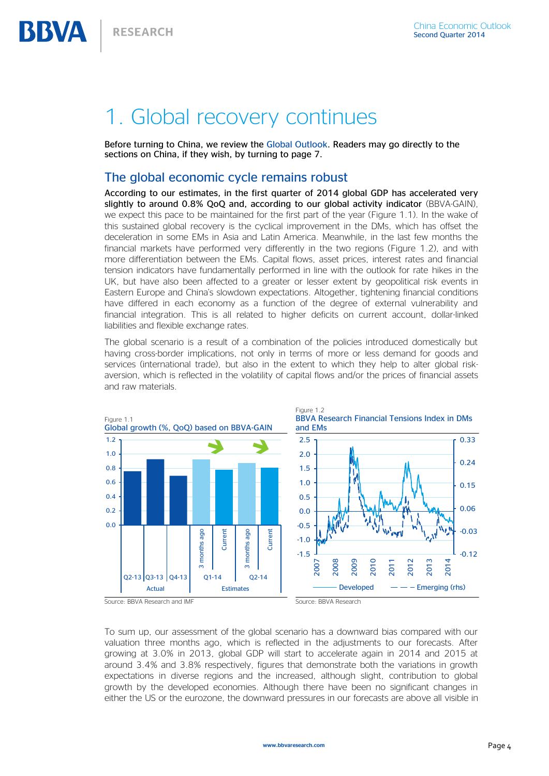# <span id="page-3-0"></span>1. Global recovery continues

Before turning to China, we review the [Global Outlook.](http://serviciodeestudios.bbva.com/KETD/fbin/mult/1405_Global_Economic_Outlook_tcm348-448754.pdf?ts=852014) Readers may go directly to the sections on China, if they wish, by turning to page 7.

### The global economic cycle remains robust

According to our estimates, in the first quarter of 2014 global GDP has accelerated very slightly to around 0.8% QoQ and, according to our global activity indicator (BBVA-GAIN), we expect this pace to be maintained for the first part of the year (Figure 1.1). In the wake of this sustained global recovery is the cyclical improvement in the DMs, which has offset the deceleration in some EMs in Asia and Latin America. Meanwhile, in the last few months the financial markets have performed very differently in the two regions (Figure 1.2), and with more differentiation between the EMs. Capital flows, asset prices, interest rates and financial tension indicators have fundamentally performed in line with the outlook for rate hikes in the UK, but have also been affected to a greater or lesser extent by geopolitical risk events in Eastern Europe and China's slowdown expectations. Altogether, tightening financial conditions have differed in each economy as a function of the degree of external vulnerability and financial integration. This is all related to higher deficits on current account, dollar-linked liabilities and flexible exchange rates.

The global scenario is a result of a combination of the policies introduced domestically but having cross-border implications, not only in terms of more or less demand for goods and services (international trade), but also in the extent to which they help to alter global riskaversion, which is reflected in the volatility of capital flows and/or the prices of financial assets and raw materials.



To sum up, our assessment of the global scenario has a downward bias compared with our valuation three months ago, which is reflected in the adjustments to our forecasts. After growing at 3.0% in 2013, global GDP will start to accelerate again in 2014 and 2015 at around 3.4% and 3.8% respectively, figures that demonstrate both the variations in growth expectations in diverse regions and the increased, although slight, contribution to global growth by the developed economies. Although there have been no significant changes in either the US or the eurozone, the downward pressures in our forecasts are above all visible in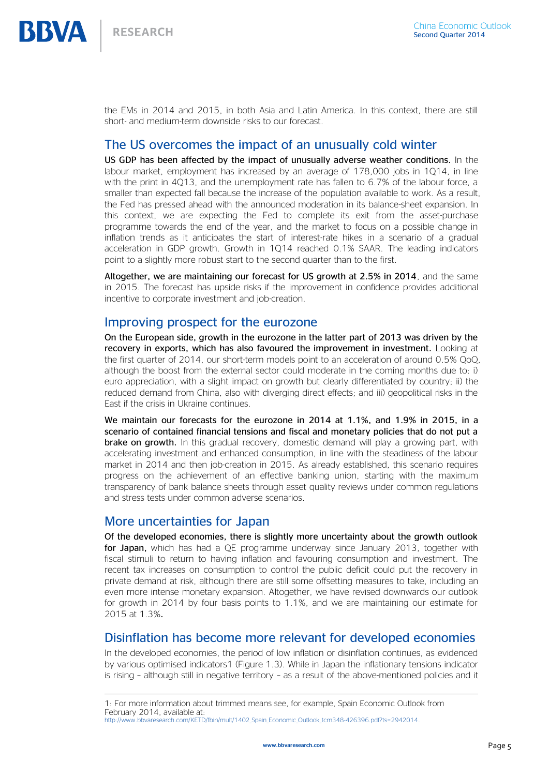the EMs in 2014 and 2015, in both Asia and Latin America. In this context, there are still short- and medium-term downside risks to our forecast.

## The US overcomes the impact of an unusually cold winter

US GDP has been affected by the impact of unusually adverse weather conditions. In the labour market, employment has increased by an average of 178,000 jobs in 1Q14, in line with the print in 4Q13, and the unemployment rate has fallen to 6.7% of the labour force, a smaller than expected fall because the increase of the population available to work. As a result, the Fed has pressed ahead with the announced moderation in its balance-sheet expansion. In this context, we are expecting the Fed to complete its exit from the asset-purchase programme towards the end of the year, and the market to focus on a possible change in inflation trends as it anticipates the start of interest-rate hikes in a scenario of a gradual acceleration in GDP growth. Growth in 1Q14 reached 0.1% SAAR. The leading indicators point to a slightly more robust start to the second quarter than to the first.

Altogether, we are maintaining our forecast for US growth at 2.5% in 2014, and the same in 2015. The forecast has upside risks if the improvement in confidence provides additional incentive to corporate investment and job-creation.

### Improving prospect for the eurozone

On the European side, growth in the eurozone in the latter part of 2013 was driven by the recovery in exports, which has also favoured the improvement in investment. Looking at the first quarter of 2014, our short-term models point to an acceleration of around 0.5% QoQ, although the boost from the external sector could moderate in the coming months due to: i) euro appreciation, with a slight impact on growth but clearly differentiated by country; ii) the reduced demand from China, also with diverging direct effects; and iii) geopolitical risks in the East if the crisis in Ukraine continues.

We maintain our forecasts for the eurozone in 2014 at 1.1%, and 1.9% in 2015, in a scenario of contained financial tensions and fiscal and monetary policies that do not put a **brake on growth.** In this gradual recovery, domestic demand will play a growing part, with accelerating investment and enhanced consumption, in line with the steadiness of the labour market in 2014 and then job-creation in 2015. As already established, this scenario requires progress on the achievement of an effective banking union, starting with the maximum transparency of bank balance sheets through asset quality reviews under common regulations and stress tests under common adverse scenarios.

### More uncertainties for Japan

 $\overline{a}$ 

Of the developed economies, there is slightly more uncertainty about the growth outlook for Japan, which has had a QE programme underway since January 2013, together with fiscal stimuli to return to having inflation and favouring consumption and investment. The recent tax increases on consumption to control the public deficit could put the recovery in private demand at risk, although there are still some offsetting measures to take, including an even more intense monetary expansion. Altogether, we have revised downwards our outlook for growth in 2014 by four basis points to 1.1%, and we are maintaining our estimate for 2015 at 1.3%.

## Disinflation has become more relevant for developed economies

In the developed economies, the period of low inflation or disinflation continues, as evidenced by various optimised indicators1 (Figure 1.3). While in Japan the inflationary tensions indicator is rising – although still in negative territory – as a result of the above-mentioned policies and it

<sup>1:</sup> For more information about trimmed means see, for example, Spain Economic Outlook from February 2014, available at:

[http://www.bbvaresearch.com/KETD/fbin/mult/1402\\_Spain\\_Economic\\_Outlook\\_tcm348-426396.pdf?ts=2942014.](http://www.bbvaresearch.com/KETD/fbin/mult/1402_Spain_Economic_Outlook_tcm348-426396.pdf?ts=2942014)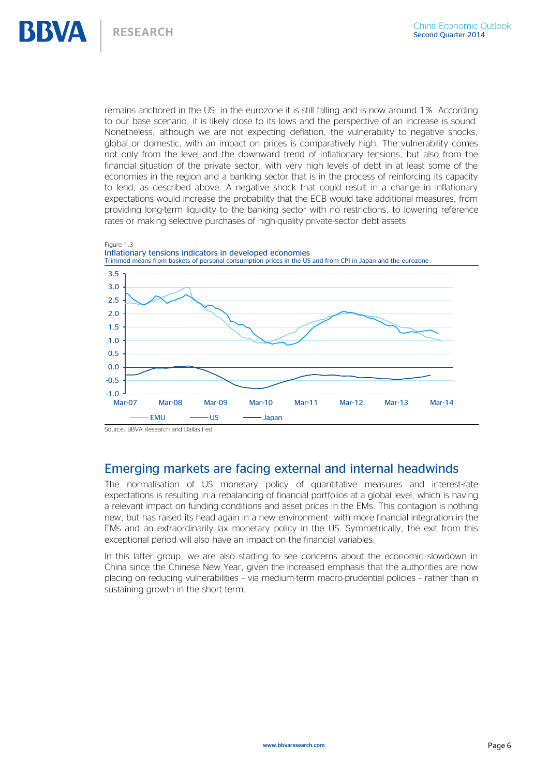remains anchored in the US, in the eurozone it is still falling and is now around 1%. According to our base scenario, it is likely close to its lows and the perspective of an increase is sound. Nonetheless, although we are not expecting deflation, the vulnerability to negative shocks, global or domestic, with an impact on prices is comparatively high. The vulnerability comes not only from the level and the downward trend of inflationary tensions, but also from the financial situation of the private sector, with very high levels of debt in at least some of the economies in the region and a banking sector that is in the process of reinforcing its capacity to lend, as described above. A negative shock that could result in a change in inflationary expectations would increase the probability that the ECB would take additional measures, from providing long-term liquidity to the banking sector with no restrictions, to lowering reference rates or making selective purchases of high-quality private-sector debt assets



## Emerging markets are facing external and internal headwinds

The normalisation of US monetary policy of quantitative measures and interest-rate expectations is resulting in a rebalancing of financial portfolios at a global level, which is having a relevant impact on funding conditions and asset prices in the EMs. This contagion is nothing new, but has raised its head again in a new environment: with more financial integration in the EMs and an extraordinarily lax monetary policy in the US. Symmetrically, the exit from this exceptional period will also have an impact on the financial variables.

In this latter group, we are also starting to see concerns about the economic slowdown in China since the Chinese New Year, given the increased emphasis that the authorities are now placing on reducing vulnerabilities – via medium-term macro-prudential policies – rather than in sustaining growth in the short term.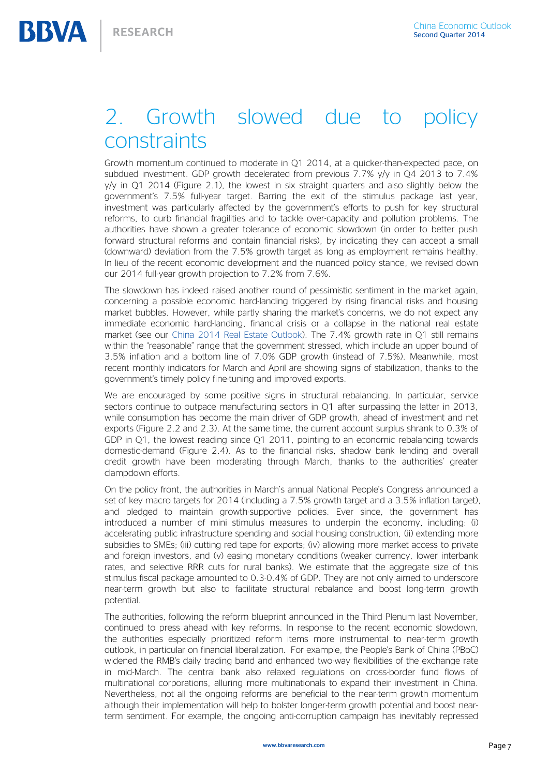# 2. Growth slowed due to policy constraints

Growth momentum continued to moderate in Q1 2014, at a quicker-than-expected pace, on subdued investment. GDP growth decelerated from previous 7.7% y/y in Q4 2013 to 7.4% y/y in Q1 2014 (Figure 2.1), the lowest in six straight quarters and also slightly below the government's 7.5% full-year target. Barring the exit of the stimulus package last year, investment was particularly affected by the government's efforts to push for key structural reforms, to curb financial fragilities and to tackle over-capacity and pollution problems. The authorities have shown a greater tolerance of economic slowdown (in order to better push forward structural reforms and contain financial risks), by indicating they can accept a small (downward) deviation from the 7.5% growth target as long as employment remains healthy. In lieu of the recent economic development and the nuanced policy stance, we revised down our 2014 full-year growth projection to 7.2% from 7.6%.

The slowdown has indeed raised another round of pessimistic sentiment in the market again, concerning a possible economic hard-landing triggered by rising financial risks and housing market bubbles. However, while partly sharing the market's concerns, we do not expect any immediate economic hard-landing, financial crisis or a collapse in the national real estate market (see our [China 2014 Real Estate Outlook\)](http://www.bbvaresearch.com/KETD/fbin/mult/140422_Real_Estate_Outlook_China_EN_tcm348-445915.pdf?ts=952014). The 7.4% growth rate in Q1 still remains within the "reasonable" range that the government stressed, which include an upper bound of 3.5% inflation and a bottom line of 7.0% GDP growth (instead of 7.5%). Meanwhile, most recent monthly indicators for March and April are showing signs of stabilization, thanks to the government's timely policy fine-tuning and improved exports.

We are encouraged by some positive signs in structural rebalancing. In particular, service sectors continue to outpace manufacturing sectors in Q1 after surpassing the latter in 2013, while consumption has become the main driver of GDP growth, ahead of investment and net exports (Figure 2.2 and 2.3). At the same time, the current account surplus shrank to 0.3% of GDP in Q1, the lowest reading since Q1 2011, pointing to an economic rebalancing towards domestic-demand (Figure 2.4). As to the financial risks, shadow bank lending and overall credit growth have been moderating through March, thanks to the authorities' greater clampdown efforts.

On the policy front, the authorities in March's annual National People's Congress announced a set of key macro targets for 2014 (including a 7.5% growth target and a 3.5% inflation target), and pledged to maintain growth-supportive policies. Ever since, the government has introduced a number of mini stimulus measures to underpin the economy, including: (i) accelerating public infrastructure spending and social housing construction, (ii) extending more subsidies to SMEs; (iii) cutting red tape for exports; (iv) allowing more market access to private and foreign investors, and (v) easing monetary conditions (weaker currency, lower interbank rates, and selective RRR cuts for rural banks). We estimate that the aggregate size of this stimulus fiscal package amounted to 0.3-0.4% of GDP. They are not only aimed to underscore near-term growth but also to facilitate structural rebalance and boost long-term growth potential.

The authorities, following the reform blueprint announced in the Third Plenum last November, continued to press ahead with key reforms. In response to the recent economic slowdown, the authorities especially prioritized reform items more instrumental to near-term growth outlook, in particular on financial liberalization. For example, the People's Bank of China (PBoC) widened the RMB's daily trading band and enhanced two-way flexibilities of the exchange rate in mid-March. The central bank also relaxed regulations on cross-border fund flows of multinational corporations, alluring more multinationals to expand their investment in China. Nevertheless, not all the ongoing reforms are beneficial to the near-term growth momentum although their implementation will help to bolster longer-term growth potential and boost nearterm sentiment. For example, the ongoing anti-corruption campaign has inevitably repressed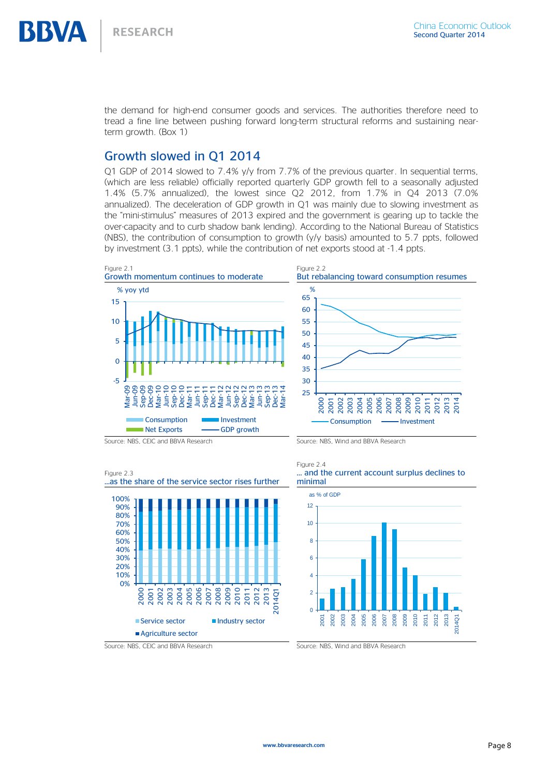the demand for high-end consumer goods and services. The authorities therefore need to tread a fine line between pushing forward long-term structural reforms and sustaining nearterm growth. (Box 1)

# Growth slowed in Q1 2014

Q1 GDP of 2014 slowed to 7.4% y/y from 7.7% of the previous quarter. In sequential terms, (which are less reliable) officially reported quarterly GDP growth fell to a seasonally adjusted 1.4% (5.7% annualized), the lowest since Q2 2012, from 1.7% in Q4 2013 (7.0% annualized). The deceleration of GDP growth in Q1 was mainly due to slowing investment as the "mini-stimulus" measures of 2013 expired and the government is gearing up to tackle the over-capacity and to curb shadow bank lending). According to the National Bureau of Statistics (NBS), the contribution of consumption to growth (y/y basis) amounted to 5.7 ppts, followed by investment (3.1 ppts), while the contribution of net exports stood at -1.4 ppts.







Figure 2.4 … and the current account surplus declines to minimal



Source: NBS, CEIC and BBVA Research Source: NBS, Wind and BBVA Research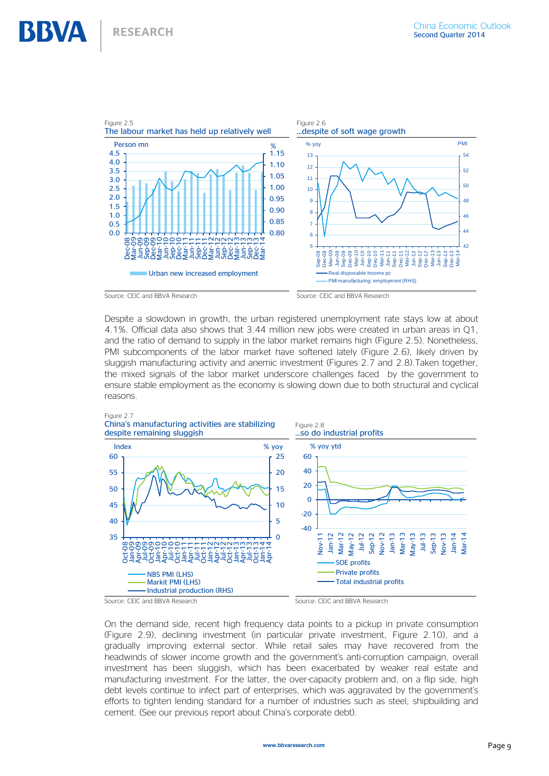

Despite a slowdown in growth, the urban registered unemployment rate stays low at about 4.1%. Official data also shows that 3.44 million new jobs were created in urban areas in Q1, and the ratio of demand to supply in the labor market remains high (Figure 2.5). Nonetheless, PMI subcomponents of the labor market have softened lately (Figure 2.6), likely driven by sluggish manufacturing activity and anemic investment (Figures 2.7 and 2.8).Taken together, the mixed signals of the labor market underscore challenges faced by the government to ensure stable employment as the economy is slowing down due to both structural and cyclical reasons.





On the demand side, recent high frequency data points to a pickup in private consumption (Figure 2.9), declining investment (in particular private investment, Figure 2.10), and a gradually improving external sector. While retail sales may have recovered from the headwinds of slower income growth and the government's anti-corruption campaign, overall investment has been sluggish, which has been exacerbated by weaker real estate and manufacturing investment. For the latter, the over-capacity problem and, on a flip side, high debt levels continue to infect part of enterprises, which was aggravated by the government's efforts to tighten lending standard for a number of industries such as steel, shipbuilding and cement. (See our previous report about China's corporate debt).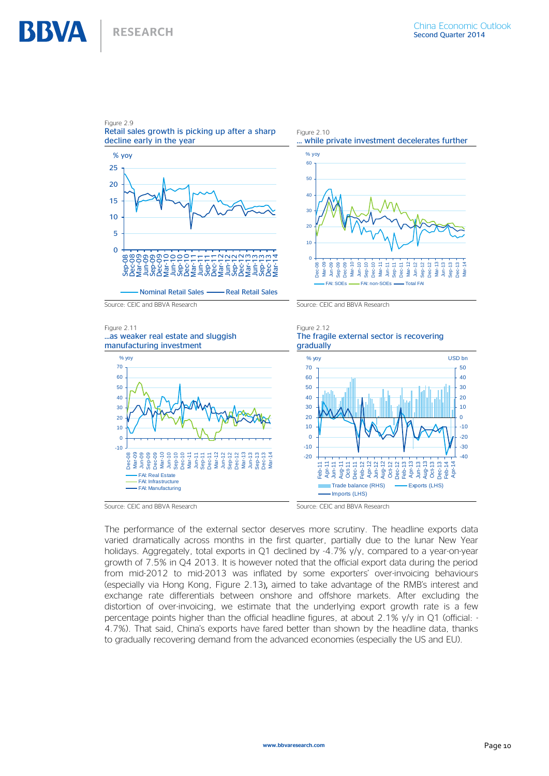



Figure 2.10 … while private investment decelerates further  $%$  yoy



Source: CEIC and BBVA Research Source: CEIC and BBVA Research











Source: CEIC and BBVA Research Source: CEIC and BBVA Research

The performance of the external sector deserves more scrutiny. The headline exports data varied dramatically across months in the first quarter, partially due to the lunar New Year holidays. Aggregately, total exports in Q1 declined by -4.7% y/y, compared to a year-on-year growth of 7.5% in Q4 2013. It is however noted that the official export data during the period from mid-2012 to mid-2013 was inflated by some exporters' over-invoicing behaviours (especially via Hong Kong, Figure 2.13), aimed to take advantage of the RMB's interest and exchange rate differentials between onshore and offshore markets. After excluding the distortion of over-invoicing, we estimate that the underlying export growth rate is a few percentage points higher than the official headline figures, at about 2.1% y/y in Q1 (official: - 4.7%). That said, China's exports have fared better than shown by the headline data, thanks to gradually recovering demand from the advanced economies (especially the US and EU).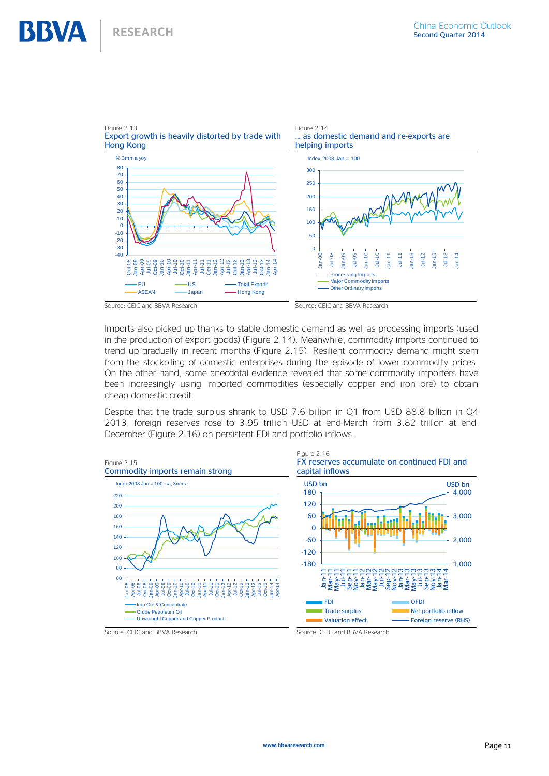

Imports also picked up thanks to stable domestic demand as well as processing imports (used in the production of export goods) (Figure 2.14). Meanwhile, commodity imports continued to trend up gradually in recent months (Figure 2.15). Resilient commodity demand might stem from the stockpiling of domestic enterprises during the episode of lower commodity prices. On the other hand, some anecdotal evidence revealed that some commodity importers have been increasingly using imported commodities (especially copper and iron ore) to obtain cheap domestic credit.

Despite that the trade surplus shrank to USD 7.6 billion in Q1 from USD 88.8 billion in Q4 2013, foreign reserves rose to 3.95 trillion USD at end-March from 3.82 trillion at end-December (Figure 2.16) on persistent FDI and portfolio inflows.

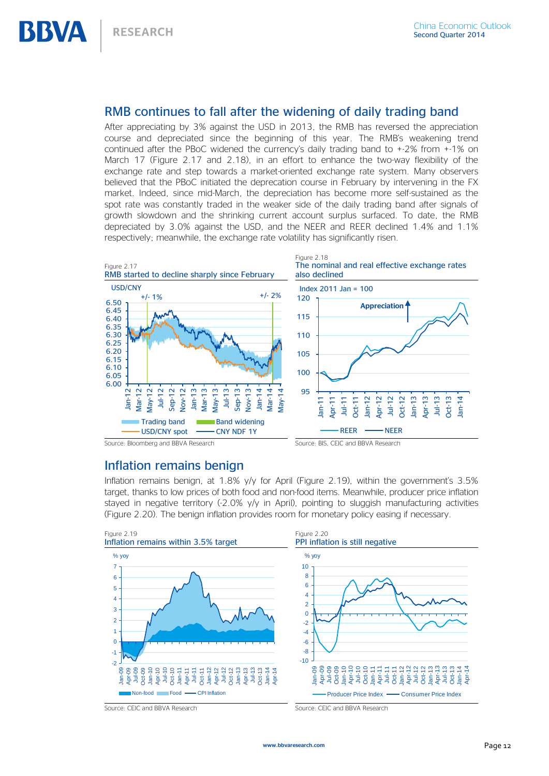# RMB continues to fall after the widening of daily trading band

After appreciating by 3% against the USD in 2013, the RMB has reversed the appreciation course and depreciated since the beginning of this year. The RMB's weakening trend continued after the PBoC widened the currency's daily trading band to +-2% from +-1% on March 17 (Figure 2.17 and 2.18), in an effort to enhance the two-way flexibility of the exchange rate and step towards a market-oriented exchange rate system. Many observers believed that the PBoC initiated the deprecation course in February by intervening in the FX market. Indeed, since mid-March, the depreciation has become more self-sustained as the spot rate was constantly traded in the weaker side of the daily trading band after signals of growth slowdown and the shrinking current account surplus surfaced. To date, the RMB depreciated by 3.0% against the USD, and the NEER and REER declined 1.4% and 1.1% respectively; meanwhile, the exchange rate volatility has significantly risen.



# Inflation remains benign

Inflation remains benign, at 1.8% y/y for April (Figure 2.19), within the government's 3.5% target, thanks to low prices of both food and non-food items. Meanwhile, producer price inflation stayed in negative territory (-2.0% y/y in April), pointing to sluggish manufacturing activities (Figure 2.20). The benign inflation provides room for monetary policy easing if necessary.



Source: CEIC and BBVA Research Source: CEIC and BBVA Research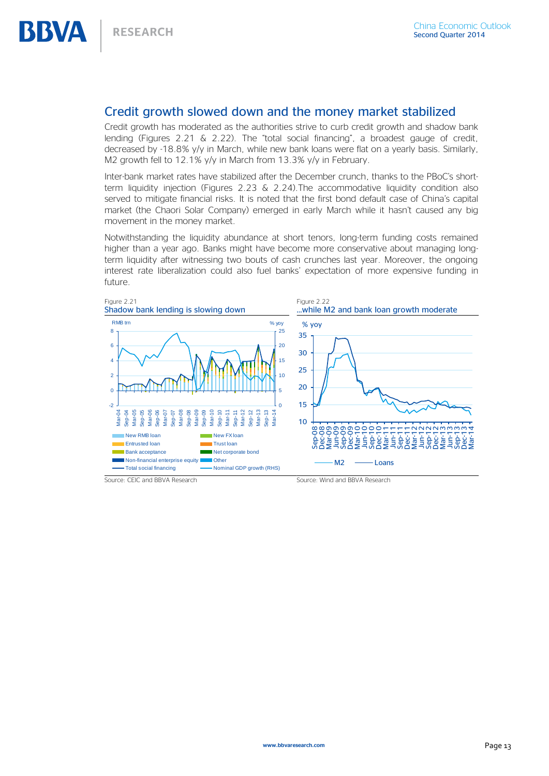# Credit growth slowed down and the money market stabilized

Credit growth has moderated as the authorities strive to curb credit growth and shadow bank lending (Figures 2.21 & 2.22). The "total social financing", a broadest gauge of credit, decreased by -18.8% y/y in March, while new bank loans were flat on a yearly basis. Similarly, M2 growth fell to 12.1% y/y in March from 13.3% y/y in February.

Inter-bank market rates have stabilized after the December crunch, thanks to the PBoC's shortterm liquidity injection (Figures 2.23  $\&$  2.24). The accommodative liquidity condition also served to mitigate financial risks. It is noted that the first bond default case of China's capital market (the Chaori Solar Company) emerged in early March while it hasn't caused any big movement in the money market.

Notwithstanding the liquidity abundance at short tenors, long-term funding costs remained higher than a year ago. Banks might have become more conservative about managing longterm liquidity after witnessing two bouts of cash crunches last year. Moreover, the ongoing interest rate liberalization could also fuel banks' expectation of more expensive funding in future.

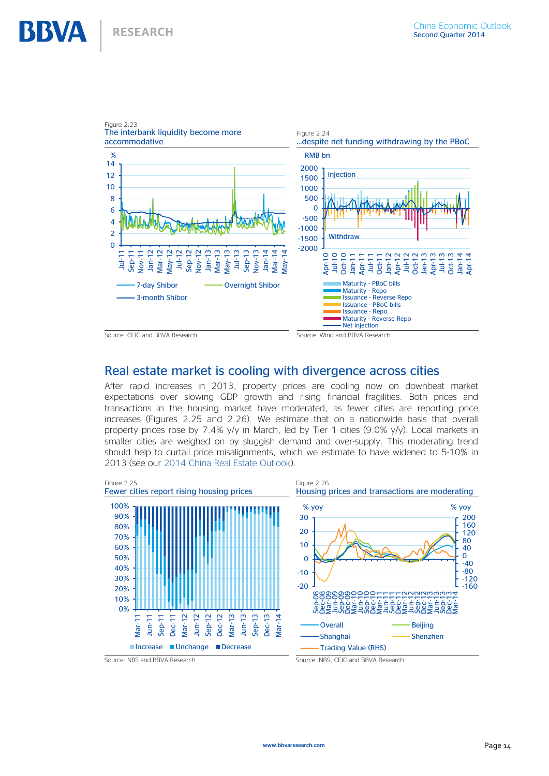

# Real estate market is cooling with divergence across cities

After rapid increases in 2013, property prices are cooling now on downbeat market expectations over slowing GDP growth and rising financial fragilities. Both prices and transactions in the housing market have moderated, as fewer cities are reporting price increases (Figures 2.25 and 2.26). We estimate that on a nationwide basis that overall property prices rose by 7.4% y/y in March, led by Tier 1 cities (9.0% y/y). Local markets in smaller cities are weighed on by sluggish demand and over-supply. This moderating trend should help to curtail price misalignments, which we estimate to have widened to 5-10% in 2013 (see our [2014 China Real Estate Outlook\)](http://serviciodeestudios.bbva.com/KETD/fbin/mult/140422_Real_Estate_Outlook_China_EN_tcm348-445915.pdf?ts=752014).

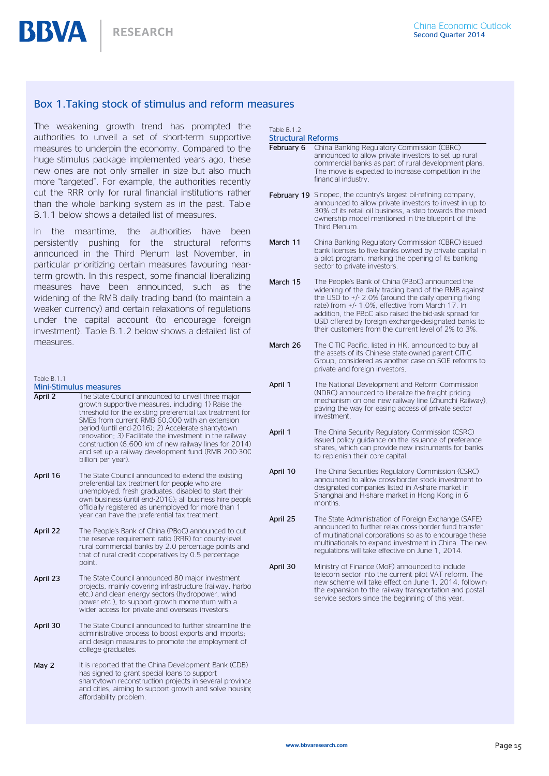**RESEARCH** 

### <span id="page-14-0"></span>Box 1.Taking stock of stimulus and reform measures

The weakening growth trend has prompted the authorities to unveil a set of short-term supportive measures to underpin the economy. Compared to the huge stimulus package implemented years ago, these new ones are not only smaller in size but also much more "targeted". For example, the authorities recently cut the RRR only for rural financial institutions rather than the whole banking system as in the past. Table B.1.1 below shows a detailed list of measures.

In the meantime, the authorities have been persistently pushing for the structural reforms announced in the Third Plenum last November, in particular prioritizing certain measures favouring nearterm growth. In this respect, some financial liberalizing measures have been announced, such as the widening of the RMB daily trading band (to maintain a weaker currency) and certain relaxations of regulations under the capital account (to encourage foreign investment). Table B.1.2 below shows a detailed list of measures.

Table B.1.1

BBVA

Mini-Stimulus measures

- April 2 The State Council announced to unveil three major growth supportive measures, including 1) Raise the threshold for the existing preferential tax treatment for SMEs from current RMB 60,000 with an extension period (until end-2016); 2) Accelerate shantytown renovation; 3) Facilitate the investment in the railway construction (6,600 km of new railway lines for 2014) and set up a railway development fund (RMB 200-300 billion per year).
- April 16 The State Council announced to extend the existing preferential tax treatment for people who are unemployed, fresh graduates, disabled to start their own business (until end-2016); all business hire people officially registered as unemployed for more than 1 year can have the preferential tax treatment.
- April 22 The People's Bank of China (PBoC) announced to cut the reserve requirement ratio (RRR) for county-level rural commercial banks by 2.0 percentage points and that of rural credit cooperatives by 0.5 percentage point.
- April 23 The State Council announced 80 major investment projects, mainly covering infrastructure (railway, harbor etc.) and clean energy sectors (hydropower, wind power etc.), to support growth momentum with a wider access for private and overseas investors.
- April 30 The State Council announced to further streamline the administrative process to boost exports and imports; and design measures to promote the employment of college graduates.
- May 2 It is reported that the China Development Bank (CDB) has signed to grant special loans to support shantytown reconstruction projects in several province and cities, aiming to support growth and solve housing affordability problem.

Table B.1.2

- Structural Reforms February 6 China Banking Regulatory Commission (CBRC) announced to allow private investors to set up rural commercial banks as part of rural development plans. The move is expected to increase competition in the financial industry. February 19 Sinopec, the country's largest oil-refining company, announced to allow private investors to invest in up to 30% of its retail oil business, a step towards the mixed ownership model mentioned in the blueprint of the Third Plenum. March 11 China Banking Regulatory Commission (CBRC) issued bank licenses to five banks owned by private capital in a pilot program, marking the opening of its banking sector to private investors. March 15 The People's Bank of China (PBoC) announced the widening of the daily trading band of the RMB against the USD to +/- 2.0% (around the daily opening fixing rate) from +/- 1.0%, effective from March 17. In addition, the PBoC also raised the bid-ask spread for USD offered by foreign exchange-designated banks to their customers from the current level of 2% to 3%. March 26 The CITIC Pacific, listed in HK, announced to buy all the assets of its Chinese state-owned parent CITIC Group, considered as another case on SOE reforms to private and foreign investors. April 1 The National Development and Reform Commission (NDRC) announced to liberalize the freight pricing mechanism on one new railway line (Zhunchi Railway), paving the way for easing access of private sector investment. April 1 The China Security Regulatory Commission (CSRC) issued policy guidance on the issuance of preference shares, which can provide new instruments for banks to replenish their core capital.
- April 10 The China Securities Regulatory Commission (CSRC) announced to allow cross-border stock investment to designated companies listed in A-share market in Shanghai and H-share market in Hong Kong in 6 months.
- April 25 The State Administration of Foreign Exchange (SAFE) announced to further relax cross-border fund transfer of multinational corporations so as to encourage these multinationals to expand investment in China. The new regulations will take effective on June 1, 2014.
- April 30 Ministry of Finance (MoF) announced to include telecom sector into the current pilot VAT reform. The new scheme will take effect on June 1, 2014, following the expansion to the railway transportation and postal service sectors since the beginning of this year.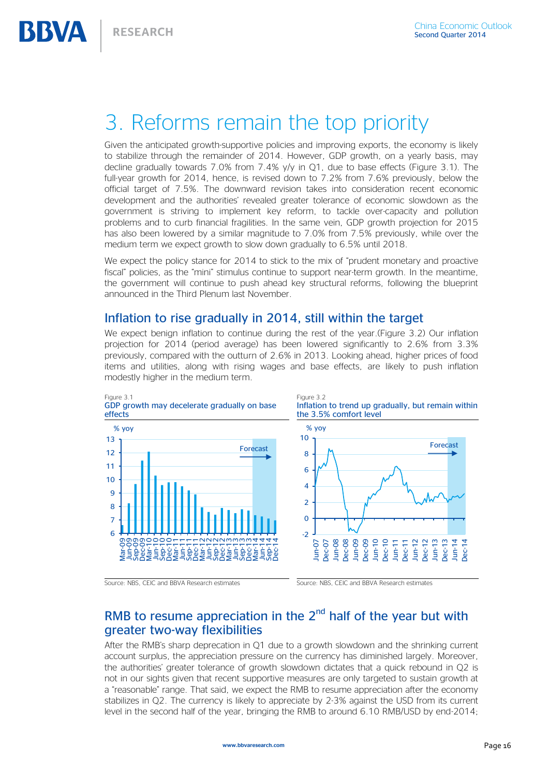# <span id="page-15-0"></span>3. Reforms remain the top priority

Given the anticipated growth-supportive policies and improving exports, the economy is likely to stabilize through the remainder of 2014. However, GDP growth, on a yearly basis, may decline gradually towards 7.0% from 7.4% y/y in O1, due to base effects (Figure 3.1). The full-year growth for 2014, hence, is revised down to 7.2% from 7.6% previously, below the official target of 7.5%. The downward revision takes into consideration recent economic development and the authorities' revealed greater tolerance of economic slowdown as the government is striving to implement key reform, to tackle over-capacity and pollution problems and to curb financial fragilities. In the same vein, GDP growth projection for 2015 has also been lowered by a similar magnitude to 7.0% from 7.5% previously, while over the medium term we expect growth to slow down gradually to 6.5% until 2018.

We expect the policy stance for 2014 to stick to the mix of "prudent monetary and proactive" fiscal" policies, as the "mini" stimulus continue to support near-term growth. In the meantime, the government will continue to push ahead key structural reforms, following the blueprint announced in the Third Plenum last November.

### Inflation to rise gradually in 2014, still within the target

We expect benign inflation to continue during the rest of the year.(Figure 3.2) Our inflation projection for 2014 (period average) has been lowered significantly to 2.6% from 3.3% previously, compared with the outturn of 2.6% in 2013. Looking ahead, higher prices of food items and utilities, along with rising wages and base effects, are likely to push inflation modestly higher in the medium term.



Source: NBS, CEIC and BBVA Research estimates Source: NBS, CEIC and BBVA Research estimates

# RMB to resume appreciation in the  $2<sup>nd</sup>$  half of the year but with greater two-way flexibilities

After the RMB's sharp deprecation in Q1 due to a growth slowdown and the shrinking current account surplus, the appreciation pressure on the currency has diminished largely. Moreover, the authorities' greater tolerance of growth slowdown dictates that a quick rebound in Q2 is not in our sights given that recent supportive measures are only targeted to sustain growth at a "reasonable" range. That said, we expect the RMB to resume appreciation after the economy stabilizes in Q2. The currency is likely to appreciate by 2-3% against the USD from its current level in the second half of the year, bringing the RMB to around 6.10 RMB/USD by end-2014;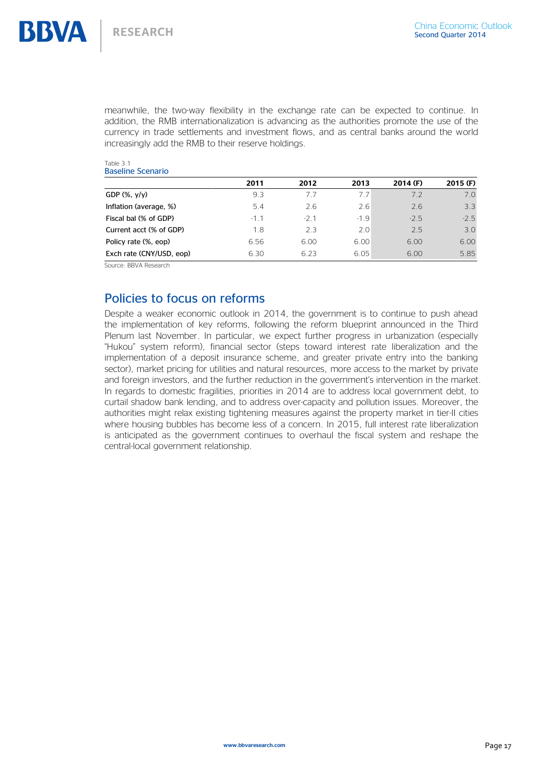meanwhile, the two-way flexibility in the exchange rate can be expected to continue. In addition, the RMB internationalization is advancing as the authorities promote the use of the currency in trade settlements and investment flows, and as central banks around the world increasingly add the RMB to their reserve holdings.

| Table 3.1 |                          |
|-----------|--------------------------|
|           | <b>Baseline Scenario</b> |

| 2011   | 2012  | 2013   | $2014$ (F) | $2015$ (F) |
|--------|-------|--------|------------|------------|
| 9.3    | 77    | 7.7    | 7.2        | 7.0        |
| 5.4    | 2.6   | 2.6    | 2.6        | 3.3        |
| $-1$ 1 | $-21$ | $-1.9$ | $-25$      | $-2.5$     |
| 1.8    | 2.3   | 2.0    | 25         | 3.0        |
| 6.56   | 6.00  | 6.00   | 6.00       | 6.00       |
| 6.30   | 6.23  | 6.05   | 6.00       | 5.85       |
|        |       |        |            |            |

Source: BBVA Research

# Policies to focus on reforms

Despite a weaker economic outlook in 2014, the government is to continue to push ahead the implementation of key reforms, following the reform blueprint announced in the Third Plenum last November. In particular, we expect further progress in urbanization (especially "Hukou" system reform), financial sector (steps toward interest rate liberalization and the implementation of a deposit insurance scheme, and greater private entry into the banking sector), market pricing for utilities and natural resources, more access to the market by private and foreign investors, and the further reduction in the government's intervention in the market. In regards to domestic fragilities, priorities in 2014 are to address local government debt, to curtail shadow bank lending, and to address over-capacity and pollution issues. Moreover, the authorities might relax existing tightening measures against the property market in tier-II cities where housing bubbles has become less of a concern. In 2015, full interest rate liberalization is anticipated as the government continues to overhaul the fiscal system and reshape the central-local government relationship.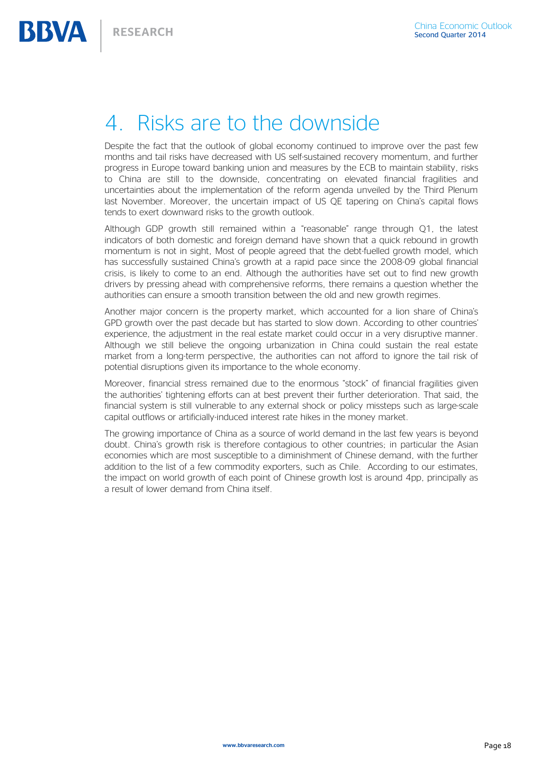# <span id="page-17-0"></span>4. Risks are to the downside

Despite the fact that the outlook of global economy continued to improve over the past few months and tail risks have decreased with US self-sustained recovery momentum, and further progress in Europe toward banking union and measures by the ECB to maintain stability, risks to China are still to the downside, concentrating on elevated financial fragilities and uncertainties about the implementation of the reform agenda unveiled by the Third Plenum last November. Moreover, the uncertain impact of US QE tapering on China's capital flows tends to exert downward risks to the growth outlook.

Although GDP growth still remained within a "reasonable" range through Q1, the latest indicators of both domestic and foreign demand have shown that a quick rebound in growth momentum is not in sight, Most of people agreed that the debt-fuelled growth model, which has successfully sustained China's growth at a rapid pace since the 2008-09 global financial crisis, is likely to come to an end. Although the authorities have set out to find new growth drivers by pressing ahead with comprehensive reforms, there remains a question whether the authorities can ensure a smooth transition between the old and new growth regimes.

Another major concern is the property market, which accounted for a lion share of China's GPD growth over the past decade but has started to slow down. According to other countries' experience, the adjustment in the real estate market could occur in a very disruptive manner. Although we still believe the ongoing urbanization in China could sustain the real estate market from a long-term perspective, the authorities can not afford to ignore the tail risk of potential disruptions given its importance to the whole economy.

Moreover, financial stress remained due to the enormous "stock" of financial fragilities given the authorities' tightening efforts can at best prevent their further deterioration. That said, the financial system is still vulnerable to any external shock or policy missteps such as large-scale capital outflows or artificially-induced interest rate hikes in the money market.

The growing importance of China as a source of world demand in the last few years is beyond doubt. China's growth risk is therefore contagious to other countries; in particular the Asian economies which are most susceptible to a diminishment of Chinese demand, with the further addition to the list of a few commodity exporters, such as Chile. According to our estimates, the impact on world growth of each point of Chinese growth lost is around 4pp, principally as a result of lower demand from China itself.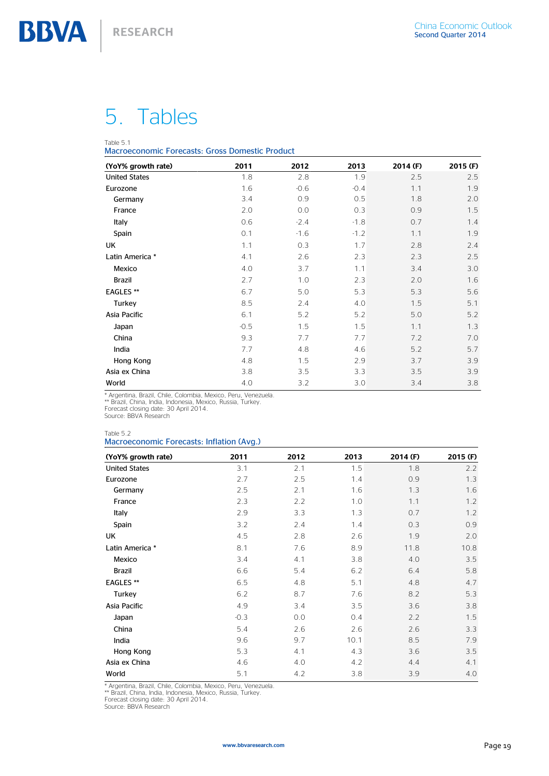# 5. Tables

#### Table 5.1

Macroeconomic Forecasts: Gross Domestic Product

| (YoY% growth rate)   | 2011   | 2012   | 2013   | 2014 (F) | 2015 (F) |
|----------------------|--------|--------|--------|----------|----------|
| <b>United States</b> | 1.8    | 2.8    | 1.9    | 2.5      | 2.5      |
| Eurozone             | 1.6    | $-0.6$ | $-0.4$ | 1.1      | 1.9      |
| Germany              | 3.4    | 0.9    | 0.5    | 1.8      | 2.0      |
| France               | 2.0    | 0.0    | 0.3    | 0.9      | 1.5      |
| Italy                | 0.6    | $-2.4$ | $-1.8$ | 0.7      | 1.4      |
| Spain                | 0.1    | $-1.6$ | $-1.2$ | 1.1      | 1.9      |
| UK                   | 1.1    | 0.3    | 1.7    | 2.8      | 2.4      |
| Latin America *      | 4.1    | 2.6    | 2.3    | 2.3      | 2.5      |
| Mexico               | 4.0    | 3.7    | 1.1    | 3.4      | 3.0      |
| <b>Brazil</b>        | 2.7    | 1.0    | 2.3    | 2.0      | 1.6      |
| <b>EAGLES **</b>     | 6.7    | 5.0    | 5.3    | 5.3      | 5.6      |
| Turkey               | 8.5    | 2.4    | 4.0    | 1.5      | 5.1      |
| Asia Pacific         | 6.1    | 5.2    | 5.2    | 5.0      | 5.2      |
| Japan                | $-0.5$ | 1.5    | 1.5    | 1.1      | 1.3      |
| China                | 9.3    | 7.7    | 7.7    | 7.2      | 7.0      |
| India                | 7.7    | 4.8    | 4.6    | 5.2      | 5.7      |
| Hong Kong            | 4.8    | 1.5    | 2.9    | 3.7      | 3.9      |
| Asia ex China        | 3.8    | 3.5    | 3.3    | 3.5      | 3.9      |
| World                | 4.0    | 3.2    | 3.0    | 3.4      | 3.8      |

\* Argentina, Brazil, Chile, Colombia, Mexico, Peru, Venezuela.<br>\*\* Brazil, China, India, Indonesia, Mexico, Russia, Turkey.<br>Forecast closing date: 30 April 2014.<br>Source: BBVA Research

# Table 5.2

#### Macroeconomic Forecasts: Inflation (Avg.)

| (YoY% growth rate)   | 2011   | 2012 | 2013 | 2014 (F) | 2015 (F) |
|----------------------|--------|------|------|----------|----------|
| <b>United States</b> | 3.1    | 2.1  | 1.5  | 1.8      | 2.2      |
| Eurozone             | 2.7    | 2.5  | 1.4  | 0.9      | 1.3      |
| Germany              | 2.5    | 2.1  | 1.6  | 1.3      | 1.6      |
| France               | 2.3    | 2.2  | 1.0  | 1.1      | 1.2      |
| Italy                | 2.9    | 3.3  | 1.3  | 0.7      | 1.2      |
| Spain                | 3.2    | 2.4  | 1.4  | 0.3      | 0.9      |
| UK                   | 4.5    | 2.8  | 2.6  | 1.9      | 2.0      |
| Latin America *      | 8.1    | 7.6  | 8.9  | 11.8     | 10.8     |
| Mexico               | 3.4    | 4.1  | 3.8  | 4.0      | 3.5      |
| <b>Brazil</b>        | 6.6    | 5.4  | 6.2  | 6.4      | 5.8      |
| <b>EAGLES **</b>     | 6.5    | 4.8  | 5.1  | 4.8      | 4.7      |
| Turkey               | 6.2    | 8.7  | 7.6  | 8.2      | 5.3      |
| Asia Pacific         | 4.9    | 3.4  | 3.5  | 3.6      | 3.8      |
| Japan                | $-0.3$ | 0.0  | 0.4  | 2.2      | 1.5      |
| China                | 5.4    | 2.6  | 2.6  | 2.6      | 3.3      |
| India                | 9.6    | 9.7  | 10.1 | 8.5      | 7.9      |
| Hong Kong            | 5.3    | 4.1  | 4.3  | 3.6      | 3.5      |
| Asia ex China        | 4.6    | 4.0  | 4.2  | 4.4      | 4.1      |
| World                | 5.1    | 4.2  | 3.8  | 3.9      | 4.0      |

\* Argentina, Brazil, Chile, Colombia, Mexico, Peru, Venezuela.<br>\*\* Brazil, China, India, Indonesia, Mexico, Russia, Turkey.<br>Forecast closing date: 30 April 2014.<br>Source: BBVA Research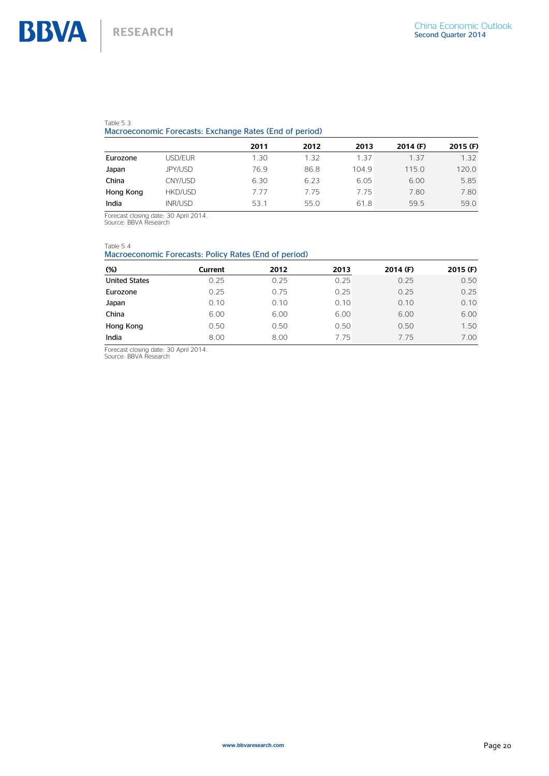#### Table 5.3

#### Macroeconomic Forecasts: Exchange Rates (End of period)

|           |         | 2011 | 2012 | 2013  | $2014$ (F) | 2015 (F) |
|-----------|---------|------|------|-------|------------|----------|
| Eurozone  | USD/EUR | 1.30 | 1.32 | 1.37  | 1.37       | 1.32     |
| Japan     | JPY/USD | 76.9 | 86.8 | 104.9 | 115.0      | 120.0    |
| China     | CNY/USD | 6.30 | 6.23 | 6.05  | 6.00       | 5.85     |
| Hong Kong | HKD/USD | 7 77 | 7.75 | 7.75  | 7.80       | 7.80     |
| India     | INR/USD | 53.1 | 55.0 | 61.8  | 59.5       | 59.0     |

Forecast closing date: 30 April 2014. Source: BBVA Research

Table 5.4

### Macroeconomic Forecasts: Policy Rates (End of period)

| $(\%)$               | Current | 2012 | 2013 | 2014 (F) | $2015$ (F) |
|----------------------|---------|------|------|----------|------------|
| <b>United States</b> | 0.25    | 0.25 | 0.25 | 0.25     | 0.50       |
| Eurozone             | 0.25    | 0.75 | 0.25 | 0.25     | 0.25       |
| Japan                | 0.10    | 0.10 | 0.10 | 0.10     | 0.10       |
| China                | 6.00    | 6.00 | 6.00 | 6.00     | 6.00       |
| Hong Kong            | 0.50    | 0.50 | 0.50 | 0.50     | 1.50       |
| India                | 8.00    | 8.00 | 7.75 | 775      | 7.00       |

Forecast closing date: 30 April 2014. Source: BBVA Research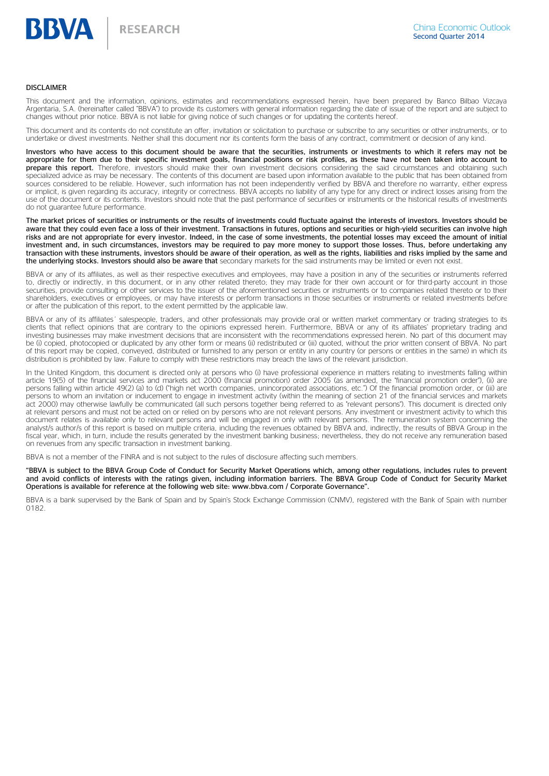![](_page_20_Picture_0.jpeg)

#### DISCLAIMER

This document and the information, opinions, estimates and recommendations expressed herein, have been prepared by Banco Bilbao Vizcaya Argentaria, S.A. (hereinafter called "BBVA") to provide its customers with general information regarding the date of issue of the report and are subject to changes without prior notice. BBVA is not liable for giving notice of such changes or for updating the contents hereof.

This document and its contents do not constitute an offer, invitation or solicitation to purchase or subscribe to any securities or other instruments, or to undertake or divest investments. Neither shall this document nor its contents form the basis of any contract, commitment or decision of any kind.

Investors who have access to this document should be aware that the securities, instruments or investments to which it refers may not be appropriate for them due to their specific investment goals, financial positions or risk profiles, as these have not been taken into account to prepare this report. Therefore, investors should make their own investment decisions considering the said circumstances and obtaining such specialized advice as may be necessary. The contents of this document are based upon information available to the public that has been obtained from sources considered to be reliable. However, such information has not been independently verified by BBVA and therefore no warranty, either express or implicit, is given regarding its accuracy, integrity or correctness. BBVA accepts no liability of any type for any direct or indirect losses arising from the use of the document or its contents. Investors should note that the past performance of securities or instruments or the historical results of investments do not guarantee future performance.

The market prices of securities or instruments or the results of investments could fluctuate against the interests of investors. Investors should be aware that they could even face a loss of their investment. Transactions in futures, options and securities or high-yield securities can involve high risks and are not appropriate for every investor. Indeed, in the case of some investments, the potential losses may exceed the amount of initial investment and, in such circumstances, investors may be required to pay more money to support those losses. Thus, before undertaking any transaction with these instruments, investors should be aware of their operation, as well as the rights, liabilities and risks implied by the same and the underlying stocks. Investors should also be aware that secondary markets for the said instruments may be limited or even not exist.

BBVA or any of its affiliates, as well as their respective executives and employees, may have a position in any of the securities or instruments referred to, directly or indirectly, in this document, or in any other related thereto; they may trade for their own account or for third-party account in those securities, provide consulting or other services to the issuer of the aforementioned securities or instruments or to companies related thereto or to their shareholders, executives or employees, or may have interests or perform transactions in those securities or instruments or related investments before or after the publication of this report, to the extent permitted by the applicable law.

BBVA or any of its affiliates´ salespeople, traders, and other professionals may provide oral or written market commentary or trading strategies to its clients that reflect opinions that are contrary to the opinions expressed herein. Furthermore, BBVA or any of its affiliates' proprietary trading and investing businesses may make investment decisions that are inconsistent with the recommendations expressed herein. No part of this document may be (i) copied, photocopied or duplicated by any other form or means (ii) redistributed or (iii) quoted, without the prior written consent of BBVA. No part of this report may be copied, conveyed, distributed or furnished to any person or entity in any country (or persons or entities in the same) in which its distribution is prohibited by law. Failure to comply with these restrictions may breach the laws of the relevant jurisdiction.

In the United Kingdom, this document is directed only at persons who (i) have professional experience in matters relating to investments falling within article 19(5) of the financial services and markets act 2000 (financial promotion) order 2005 (as amended, the "financial promotion order"), (ii) are persons falling within article 49(2) (a) to (d) ("high net worth companies, unincorporated associations, etc.") Of the financial promotion order, or (iii) are persons to whom an invitation or inducement to engage in investment activity (within the meaning of section 21 of the financial services and markets act 2000) may otherwise lawfully be communicated (all such persons together being referred to as "relevant persons"). This document is directed only at relevant persons and must not be acted on or relied on by persons who are not relevant persons. Any investment or investment activity to which this document relates is available only to relevant persons and will be engaged in only with relevant persons. The remuneration system concerning the analyst/s author/s of this report is based on multiple criteria, including the revenues obtained by BBVA and, indirectly, the results of BBVA Group in the fiscal year, which, in turn, include the results generated by the investment banking business; nevertheless, they do not receive any remuneration based on revenues from any specific transaction in investment banking.

BBVA is not a member of the FINRA and is not subject to the rules of disclosure affecting such members.

"BBVA is subject to the BBVA Group Code of Conduct for Security Market Operations which, among other regulations, includes rules to prevent and avoid conflicts of interests with the ratings given, including information barriers. The BBVA Group Code of Conduct for Security Market Operations is available for reference at the following web site: www.bbva.com / Corporate Governance".

BBVA is a bank supervised by the Bank of Spain and by Spain's Stock Exchange Commission (CNMV), registered with the Bank of Spain with number 0182.